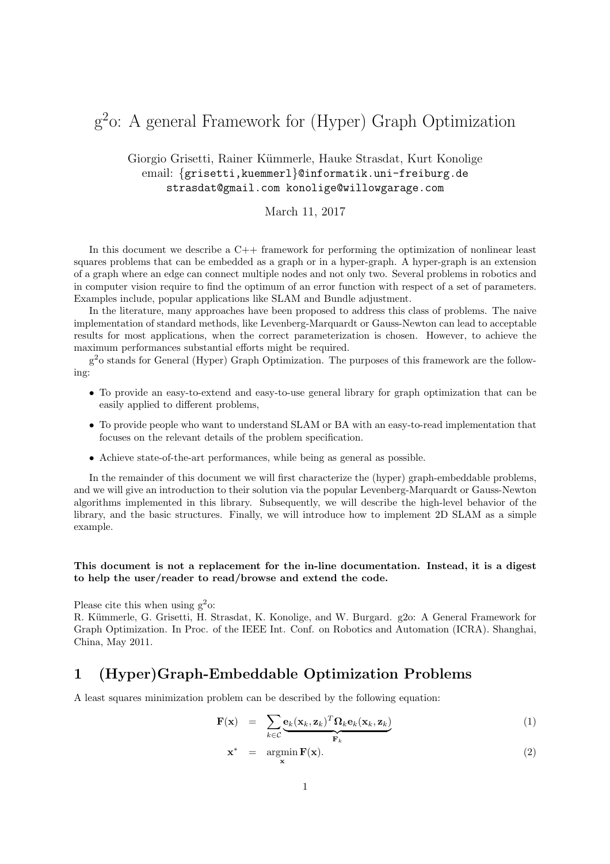# g 2 o: A general Framework for (Hyper) Graph Optimization

## Giorgio Grisetti, Rainer Kümmerle, Hauke Strasdat, Kurt Konolige email: {grisetti, kuemmerl}@informatik.uni-freiburg.de strasdat@gmail.com konolige@willowgarage.com

## March 11, 2017

In this document we describe a  $C_{++}$  framework for performing the optimization of nonlinear least squares problems that can be embedded as a graph or in a hyper-graph. A hyper-graph is an extension of a graph where an edge can connect multiple nodes and not only two. Several problems in robotics and in computer vision require to find the optimum of an error function with respect of a set of parameters. Examples include, popular applications like SLAM and Bundle adjustment.

In the literature, many approaches have been proposed to address this class of problems. The naive implementation of standard methods, like Levenberg-Marquardt or Gauss-Newton can lead to acceptable results for most applications, when the correct parameterization is chosen. However, to achieve the maximum performances substantial efforts might be required.

g <sup>2</sup>o stands for General (Hyper) Graph Optimization. The purposes of this framework are the following:

- To provide an easy-to-extend and easy-to-use general library for graph optimization that can be easily applied to different problems,
- To provide people who want to understand SLAM or BA with an easy-to-read implementation that focuses on the relevant details of the problem specification.
- Achieve state-of-the-art performances, while being as general as possible.

In the remainder of this document we will first characterize the (hyper) graph-embeddable problems, and we will give an introduction to their solution via the popular Levenberg-Marquardt or Gauss-Newton algorithms implemented in this library. Subsequently, we will describe the high-level behavior of the library, and the basic structures. Finally, we will introduce how to implement 2D SLAM as a simple example.

## This document is not a replacement for the in-line documentation. Instead, it is a digest to help the user/reader to read/browse and extend the code.

Please cite this when using  $g^2$ o:

R. Kümmerle, G. Grisetti, H. Strasdat, K. Konolige, and W. Burgard. g2o: A General Framework for Graph Optimization. In Proc. of the IEEE Int. Conf. on Robotics and Automation (ICRA). Shanghai, China, May 2011.

# 1 (Hyper)Graph-Embeddable Optimization Problems

A least squares minimization problem can be described by the following equation:

x

$$
\mathbf{F}(\mathbf{x}) = \sum_{k \in \mathcal{C}} \underbrace{\mathbf{e}_k(\mathbf{x}_k, \mathbf{z}_k)^T \mathbf{\Omega}_k \mathbf{e}_k(\mathbf{x}_k, \mathbf{z}_k)}_{\mathbf{F}_k}
$$
(1)

$$
* = \underset{\mathbf{x}}{\operatorname{argmin}} \mathbf{F}(\mathbf{x}).\tag{2}
$$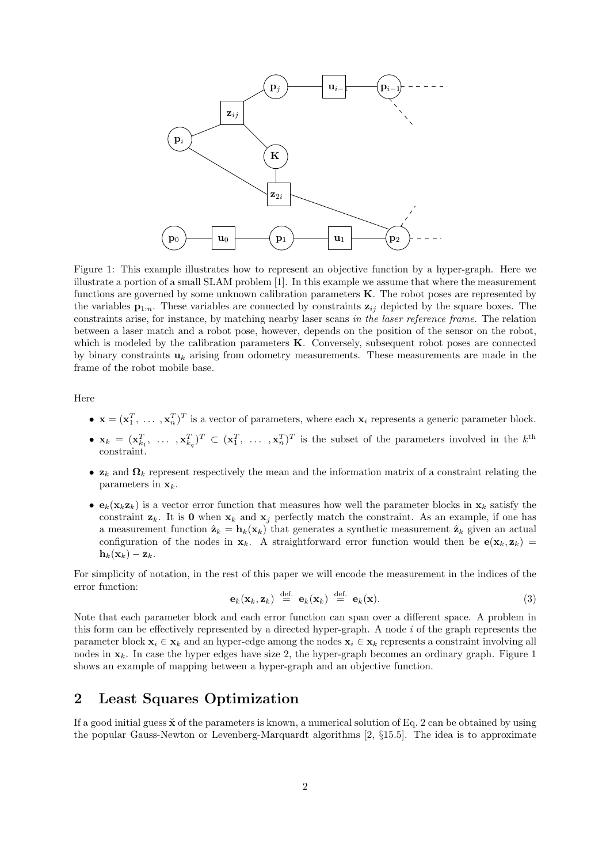

Figure 1: This example illustrates how to represent an objective function by a hyper-graph. Here we illustrate a portion of a small SLAM problem [1]. In this example we assume that where the measurement functions are governed by some unknown calibration parameters  $K$ . The robot poses are represented by the variables  $\mathbf{p}_{1:n}$ . These variables are connected by constraints  $\mathbf{z}_{ij}$  depicted by the square boxes. The constraints arise, for instance, by matching nearby laser scans in the laser reference frame. The relation between a laser match and a robot pose, however, depends on the position of the sensor on the robot, which is modeled by the calibration parameters **K**. Conversely, subsequent robot poses are connected by binary constraints  $\mathbf{u}_k$  arising from odometry measurements. These measurements are made in the frame of the robot mobile base.

Here

- $\mathbf{x} = (\mathbf{x}_1^T, \ldots, \mathbf{x}_n^T)^T$  is a vector of parameters, where each  $\mathbf{x}_i$  represents a generic parameter block.
- $\mathbf{x}_k = (\mathbf{x}_{k_1}^T, \ldots, \mathbf{x}_{k_q}^T)^T \subset (\mathbf{x}_1^T, \ldots, \mathbf{x}_n^T)^T$  is the subset of the parameters involved in the k<sup>th</sup> constraint.
- $\mathbf{z}_k$  and  $\mathbf{\Omega}_k$  represent respectively the mean and the information matrix of a constraint relating the parameters in  $\mathbf{x}_k$ .
- $\mathbf{e}_k(\mathbf{x}_k \mathbf{z}_k)$  is a vector error function that measures how well the parameter blocks in  $\mathbf{x}_k$  satisfy the constraint  $\mathbf{z}_k$ . It is 0 when  $\mathbf{x}_k$  and  $\mathbf{x}_j$  perfectly match the constraint. As an example, if one has a measurement function  $\hat{\mathbf{z}}_k = \mathbf{h}_k(\mathbf{x}_k)$  that generates a synthetic measurement  $\hat{\mathbf{z}}_k$  given an actual configuration of the nodes in  $x_k$ . A straightforward error function would then be  $e(x_k, z_k)$  =  $\mathbf{h}_k(\mathbf{x}_k) - \mathbf{z}_k$ .

For simplicity of notation, in the rest of this paper we will encode the measurement in the indices of the error function:

$$
\mathbf{e}_k(\mathbf{x}_k, \mathbf{z}_k) \stackrel{\text{def.}}{=} \mathbf{e}_k(\mathbf{x}_k) \stackrel{\text{def.}}{=} \mathbf{e}_k(\mathbf{x}). \tag{3}
$$

Note that each parameter block and each error function can span over a different space. A problem in this form can be effectively represented by a directed hyper-graph. A node i of the graph represents the parameter block  $x_i \in x_k$  and an hyper-edge among the nodes  $x_i \in x_k$  represents a constraint involving all nodes in  $x_k$ . In case the hyper edges have size 2, the hyper-graph becomes an ordinary graph. Figure 1 shows an example of mapping between a hyper-graph and an objective function.

# 2 Least Squares Optimization

If a good initial guess  $\check{\mathbf{x}}$  of the parameters is known, a numerical solution of Eq. 2 can be obtained by using the popular Gauss-Newton or Levenberg-Marquardt algorithms [2, §15.5]. The idea is to approximate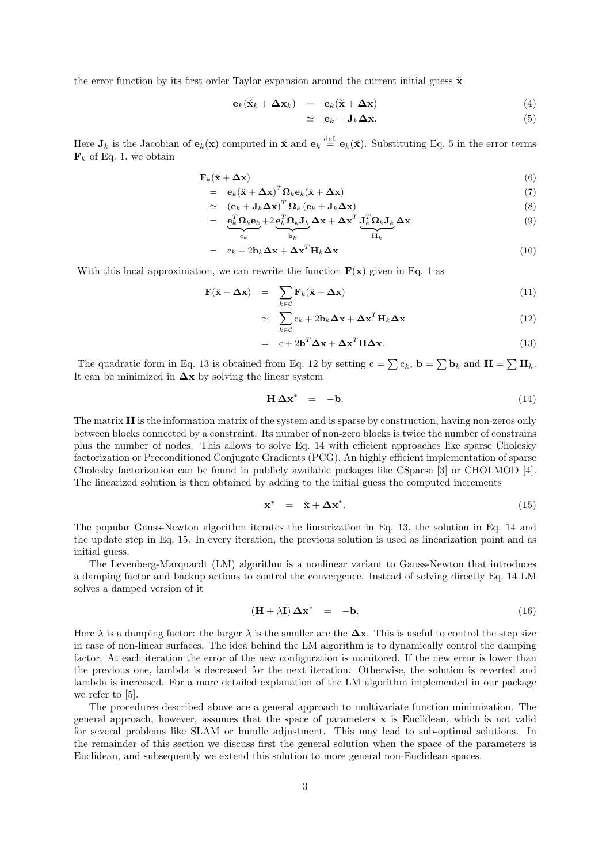the error function by its first order Taylor expansion around the current initial guess  $\ddot{x}$ 

$$
\mathbf{e}_k(\mathbf{x}_k + \Delta \mathbf{x}_k) = \mathbf{e}_k(\mathbf{x} + \Delta \mathbf{x}) \tag{4}
$$

$$
\simeq \mathbf{e}_k + \mathbf{J}_k \mathbf{\Delta x}.\tag{5}
$$

Here  $J_k$  is the Jacobian of  $e_k(x)$  computed in  $\breve{\mathbf{x}}$  and  $e_k \stackrel{\text{def.}}{=} e_k(\breve{\mathbf{x}})$ . Substituting Eq. 5 in the error terms  $\mathbf{F}_k$  of Eq. 1, we obtain

$$
\mathbf{F}_k(\mathbf{x} + \Delta \mathbf{x}) \tag{6}
$$

$$
= e_k(\ddot{\mathbf{x}} + \Delta \mathbf{x})^T \Omega_k \mathbf{e}_k(\ddot{\mathbf{x}} + \Delta \mathbf{x})
$$
  
\n
$$
\simeq (e_k + \mathbf{J}_k \Delta \mathbf{x})^T \Omega_k (\mathbf{e}_k + \mathbf{J}_k \Delta \mathbf{x})
$$
\n(8)

$$
= e_k^T \Omega_k e_k + 2 e_k^T \Omega_k J_k \Delta x + \Delta x^T J_k^T \Omega_k J_k \Delta x
$$
\n(9)

$$
\sum_{c_k} \sum_{\mathbf{b}_k} \mathbf{b}_k \mathbf{b}_k \mathbf{b}_k \tag{10}
$$

With this local approximation, we can rewrite the function  $\mathbf{F}(\mathbf{x})$  given in Eq. 1 as

$$
\mathbf{F}(\ddot{\mathbf{x}} + \Delta \mathbf{x}) = \sum_{k \in \mathcal{C}} \mathbf{F}_k(\ddot{\mathbf{x}} + \Delta \mathbf{x})
$$
(11)

$$
\simeq \sum_{k \in \mathcal{C}} c_k + 2\mathbf{b}_k \mathbf{\Delta x} + \mathbf{\Delta x}^T \mathbf{H}_k \mathbf{\Delta x}
$$
 (12)

$$
= c + 2\mathbf{b}^T \Delta \mathbf{x} + \Delta \mathbf{x}^T \mathbf{H} \Delta \mathbf{x}.
$$
 (13)

The quadratic form in Eq. 13 is obtained from Eq. 12 by setting  $c = \sum c_k$ ,  $\mathbf{b} = \sum \mathbf{b}_k$  and  $\mathbf{H} = \sum \mathbf{H}_k$ . It can be minimized in  $\Delta x$  by solving the linear system

$$
\mathbf{H} \Delta \mathbf{x}^* = -\mathbf{b}.\tag{14}
$$

The matrix  $H$  is the information matrix of the system and is sparse by construction, having non-zeros only between blocks connected by a constraint. Its number of non-zero blocks is twice the number of constrains plus the number of nodes. This allows to solve Eq. 14 with efficient approaches like sparse Cholesky factorization or Preconditioned Conjugate Gradients (PCG). An highly efficient implementation of sparse Cholesky factorization can be found in publicly available packages like CSparse [3] or CHOLMOD [4]. The linearized solution is then obtained by adding to the initial guess the computed increments

$$
\mathbf{x}^* = \mathbf{\breve{x}} + \Delta \mathbf{x}^*.
$$
 (15)

The popular Gauss-Newton algorithm iterates the linearization in Eq. 13, the solution in Eq. 14 and the update step in Eq. 15. In every iteration, the previous solution is used as linearization point and as initial guess.

The Levenberg-Marquardt (LM) algorithm is a nonlinear variant to Gauss-Newton that introduces a damping factor and backup actions to control the convergence. Instead of solving directly Eq. 14 LM solves a damped version of it

$$
(\mathbf{H} + \lambda \mathbf{I}) \Delta \mathbf{x}^* = -\mathbf{b}.
$$
 (16)

Here  $\lambda$  is a damping factor: the larger  $\lambda$  is the smaller are the  $\Delta x$ . This is useful to control the step size in case of non-linear surfaces. The idea behind the LM algorithm is to dynamically control the damping factor. At each iteration the error of the new configuration is monitored. If the new error is lower than the previous one, lambda is decreased for the next iteration. Otherwise, the solution is reverted and lambda is increased. For a more detailed explanation of the LM algorithm implemented in our package we refer to [5].

The procedures described above are a general approach to multivariate function minimization. The general approach, however, assumes that the space of parameters  $x$  is Euclidean, which is not valid for several problems like SLAM or bundle adjustment. This may lead to sub-optimal solutions. In the remainder of this section we discuss first the general solution when the space of the parameters is Euclidean, and subsequently we extend this solution to more general non-Euclidean spaces.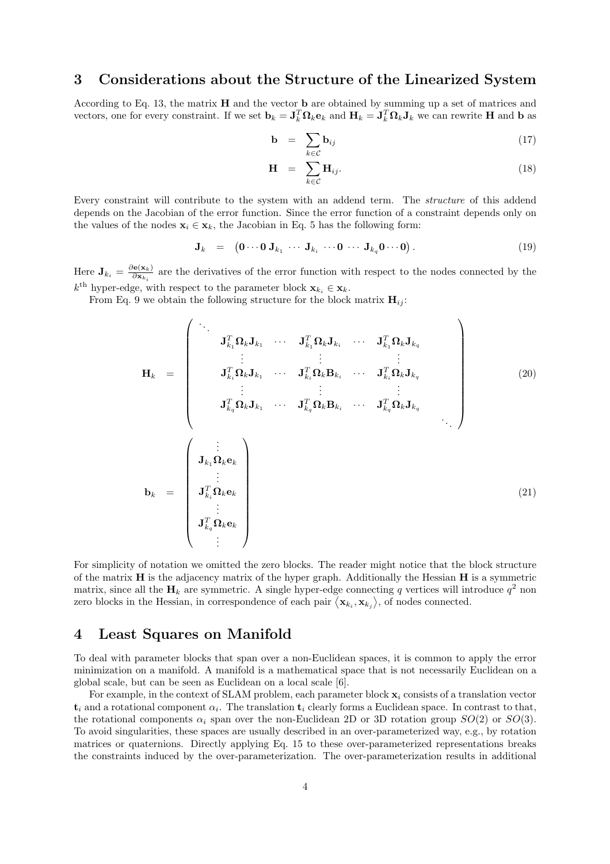# 3 Considerations about the Structure of the Linearized System

According to Eq. 13, the matrix H and the vector b are obtained by summing up a set of matrices and vectors, one for every constraint. If we set  $\mathbf{b}_k = \mathbf{J}_k^T \mathbf{\Omega}_k \mathbf{e}_k$  and  $\mathbf{H}_k = \mathbf{J}_k^T \mathbf{\Omega}_k \mathbf{J}_k$  we can rewrite H and b as

$$
\mathbf{b} = \sum_{k \in \mathcal{C}} \mathbf{b}_{ij} \tag{17}
$$

$$
\mathbf{H} = \sum_{k \in \mathcal{C}} \mathbf{H}_{ij}.
$$
 (18)

Every constraint will contribute to the system with an addend term. The *structure* of this addend depends on the Jacobian of the error function. Since the error function of a constraint depends only on the values of the nodes  $\mathbf{x}_i \in \mathbf{x}_k$ , the Jacobian in Eq. 5 has the following form:

$$
\mathbf{J}_k = (\mathbf{0} \cdots \mathbf{0} \mathbf{J}_{k_1} \cdots \mathbf{J}_{k_i} \cdots \mathbf{0} \cdots \mathbf{J}_{k_q} \mathbf{0} \cdots \mathbf{0}). \qquad (19)
$$

Here  $\mathbf{J}_{k_i} = \frac{\partial \mathbf{e}(\mathbf{x}_k)}{\partial \mathbf{x}_k}$  $\frac{\partial \mathbf{e}(x_k)}{\partial x_{k_i}}$  are the derivatives of the error function with respect to the nodes connected by the  $k^{\text{th}}$  hyper-edge, with respect to the parameter block  $\mathbf{x}_{k_i} \in \mathbf{x}_k$ .

From Eq. 9 we obtain the following structure for the block matrix  $H_{ii}$ :

$$
\mathbf{H}_{k} = \begin{pmatrix}\n\mathbf{J}_{k_{1}}^{T} \mathbf{\Omega}_{k} \mathbf{J}_{k_{1}} & \cdots & \mathbf{J}_{k_{1}}^{T} \mathbf{\Omega}_{k} \mathbf{J}_{k_{i}} & \cdots & \mathbf{J}_{k_{1}}^{T} \mathbf{\Omega}_{k} \mathbf{J}_{k_{q}} \\
\vdots & \vdots & \vdots & \vdots \\
\mathbf{J}_{k_{i}}^{T} \mathbf{\Omega}_{k} \mathbf{J}_{k_{1}} & \cdots & \mathbf{J}_{k_{i}}^{T} \mathbf{\Omega}_{k} \mathbf{B}_{k_{i}} & \cdots & \mathbf{J}_{k_{i}}^{T} \mathbf{\Omega}_{k} \mathbf{J}_{k_{q}} \\
\vdots & \vdots & \vdots & \vdots \\
\mathbf{J}_{k_{q}}^{T} \mathbf{\Omega}_{k} \mathbf{J}_{k_{1}} & \cdots & \mathbf{J}_{k_{q}}^{T} \mathbf{\Omega}_{k} \mathbf{B}_{k_{i}} & \cdots & \mathbf{J}_{k_{q}}^{T} \mathbf{\Omega}_{k} \mathbf{J}_{k_{q}} \\
\vdots & \vdots & \vdots \\
\mathbf{J}_{k_{1}}^{T} \mathbf{\Omega}_{k} \mathbf{e}_{k} & \vdots & \vdots \\
\mathbf{J}_{k_{i}}^{T} \mathbf{\Omega}_{k} \mathbf{e}_{k} & \vdots & \vdots \\
\mathbf{J}_{k_{q}}^{T} \mathbf{\Omega}_{k} \mathbf{e}_{k} & \vdots & \end{pmatrix}
$$
\n(21)

For simplicity of notation we omitted the zero blocks. The reader might notice that the block structure of the matrix  $H$  is the adjacency matrix of the hyper graph. Additionally the Hessian  $H$  is a symmetric matrix, since all the  $H_k$  are symmetric. A single hyper-edge connecting q vertices will introduce  $q^2$  non zero blocks in the Hessian, in correspondence of each pair  $\langle \mathbf{x}_{k_i}, \mathbf{x}_{k_j} \rangle$ , of nodes connected.

## 4 Least Squares on Manifold

To deal with parameter blocks that span over a non-Euclidean spaces, it is common to apply the error minimization on a manifold. A manifold is a mathematical space that is not necessarily Euclidean on a global scale, but can be seen as Euclidean on a local scale [6].

For example, in the context of SLAM problem, each parameter block  $x_i$  consists of a translation vector  $\mathbf{t}_i$  and a rotational component  $\alpha_i$ . The translation  $\mathbf{t}_i$  clearly forms a Euclidean space. In contrast to that, the rotational components  $\alpha_i$  span over the non-Euclidean 2D or 3D rotation group  $SO(2)$  or  $SO(3)$ . To avoid singularities, these spaces are usually described in an over-parameterized way, e.g., by rotation matrices or quaternions. Directly applying Eq. 15 to these over-parameterized representations breaks the constraints induced by the over-parameterization. The over-parameterization results in additional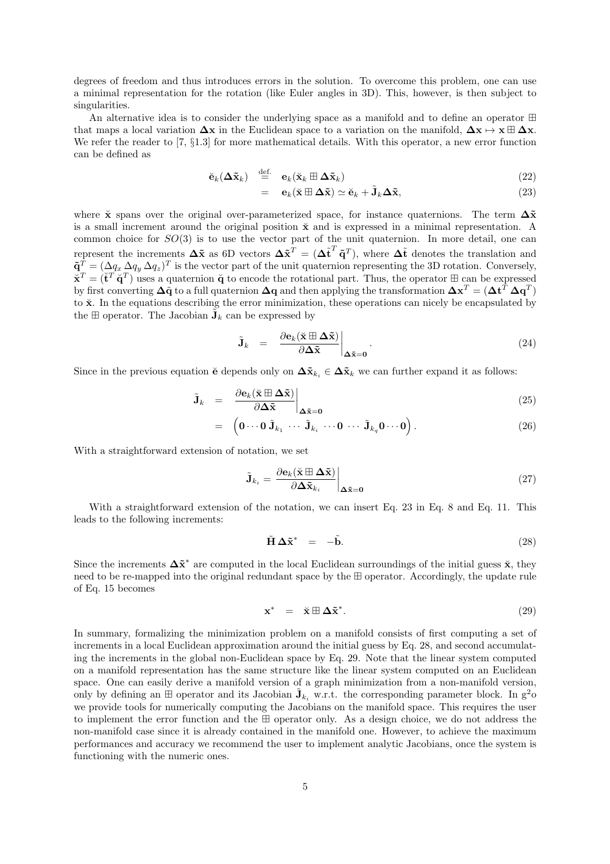degrees of freedom and thus introduces errors in the solution. To overcome this problem, one can use a minimal representation for the rotation (like Euler angles in 3D). This, however, is then subject to singularities.

An alternative idea is to consider the underlying space as a manifold and to define an operator ⊞ that maps a local variation  $\Delta x$  in the Euclidean space to a variation on the manifold,  $\Delta x \mapsto x \boxplus \Delta x$ . We refer the reader to [7,  $\S1.3$ ] for more mathematical details. With this operator, a new error function can be defined as

$$
\breve{\mathbf{e}}_k(\boldsymbol{\Delta}\tilde{\mathbf{x}}_k) \stackrel{\text{def.}}{=} \mathbf{e}_k(\breve{\mathbf{x}}_k \boxplus \boldsymbol{\Delta}\tilde{\mathbf{x}}_k) \tag{22}
$$

$$
= \mathbf{e}_k(\mathbf{x} \boxplus \Delta \tilde{\mathbf{x}}) \simeq \breve{\mathbf{e}}_k + \tilde{\mathbf{J}}_k \Delta \tilde{\mathbf{x}}, \tag{23}
$$

where  $\check{\mathbf{x}}$  spans over the original over-parameterized space, for instance quaternions. The term  $\Delta \tilde{\mathbf{x}}$ is a small increment around the original position  $\ddot{x}$  and is expressed in a minimal representation. A common choice for  $SO(3)$  is to use the vector part of the unit quaternion. In more detail, one can represent the increments  $\Delta \tilde{x}$  as 6D vectors  $\Delta \tilde{x}^T = (\Delta \tilde{t}^T \tilde{q}^T)$ , where  $\Delta \tilde{t}$  denotes the translation and  $\tilde{\mathbf{q}}^T = (\Delta q_x \Delta q_y \Delta q_z)^T$  is the vector part of the unit quaternion representing the 3D rotation. Conversely,  $\breve{\mathbf{x}}^T = (\breve{\mathbf{t}}^T \breve{\mathbf{q}}^T)$  uses a quaternion  $\breve{\mathbf{q}}$  to encode the rotational part. Thus, the operator  $\mathbb{H}$  can be expressed by first converting  $\Delta\tilde{q}$  to a full quaternion  $\Delta q$  and then applying the transformation  $\Delta x^T = (\Delta t^T \, \Delta q^T)$ to  $\check{\mathbf{x}}$ . In the equations describing the error minimization, these operations can nicely be encapsulated by the  $\boxplus$  operator. The Jacobian  $\tilde{J}_k$  can be expressed by

$$
\tilde{\mathbf{J}}_k = \left. \frac{\partial \mathbf{e}_k(\tilde{\mathbf{x}} \boxplus \Delta \tilde{\mathbf{x}})}{\partial \Delta \tilde{\mathbf{x}}} \right|_{\Delta \tilde{\mathbf{x}} = \mathbf{0}}.
$$
\n(24)

Since in the previous equation  $\check{\mathbf{e}}$  depends only on  $\Delta \tilde{\mathbf{x}}_{k_i} \in \Delta \tilde{\mathbf{x}}_k$  we can further expand it as follows:

$$
\tilde{\mathbf{J}}_k = \left. \frac{\partial \mathbf{e}_k(\tilde{\mathbf{x}} \boxplus \Delta \tilde{\mathbf{x}})}{\partial \Delta \tilde{\mathbf{x}}} \right|_{\Delta \tilde{\mathbf{x}} = \mathbf{0}} \tag{25}
$$

$$
= \left( \mathbf{0} \cdots \mathbf{0} \, \tilde{\mathbf{J}}_{k_1} \, \cdots \, \tilde{\mathbf{J}}_{k_i} \, \cdots \mathbf{0} \, \cdots \, \tilde{\mathbf{J}}_{k_q} \mathbf{0} \cdots \mathbf{0} \right). \tag{26}
$$

With a straightforward extension of notation, we set

$$
\tilde{\mathbf{J}}_{k_i} = \left. \frac{\partial \mathbf{e}_k(\breve{\mathbf{x}} \boxplus \boldsymbol{\Delta} \tilde{\mathbf{x}})}{\partial \boldsymbol{\Delta} \tilde{\mathbf{x}}_{k_i}} \right|_{\boldsymbol{\Delta} \tilde{\mathbf{x}} = \mathbf{0}} \tag{27}
$$

With a straightforward extension of the notation, we can insert Eq. 23 in Eq. 8 and Eq. 11. This leads to the following increments:

$$
\tilde{\mathbf{H}}\,\Delta\tilde{\mathbf{x}}^* = -\tilde{\mathbf{b}}.\tag{28}
$$

Since the increments  $\Delta \tilde{x}^*$  are computed in the local Euclidean surroundings of the initial guess  $\tilde{x}$ , they need to be re-mapped into the original redundant space by the ⊞ operator. Accordingly, the update rule of Eq. 15 becomes

$$
\mathbf{x}^* = \mathbf{\breve{x}} \boxplus \Delta \tilde{\mathbf{x}}^*.
$$
 (29)

In summary, formalizing the minimization problem on a manifold consists of first computing a set of increments in a local Euclidean approximation around the initial guess by Eq. 28, and second accumulating the increments in the global non-Euclidean space by Eq. 29. Note that the linear system computed on a manifold representation has the same structure like the linear system computed on an Euclidean space. One can easily derive a manifold version of a graph minimization from a non-manifold version, only by defining an  $\boxplus$  operator and its Jacobian  $\tilde{\mathbf{J}}_{k_i}$  w.r.t. the corresponding parameter block. In  $g^2$ o we provide tools for numerically computing the Jacobians on the manifold space. This requires the user to implement the error function and the ⊞ operator only. As a design choice, we do not address the non-manifold case since it is already contained in the manifold one. However, to achieve the maximum performances and accuracy we recommend the user to implement analytic Jacobians, once the system is functioning with the numeric ones.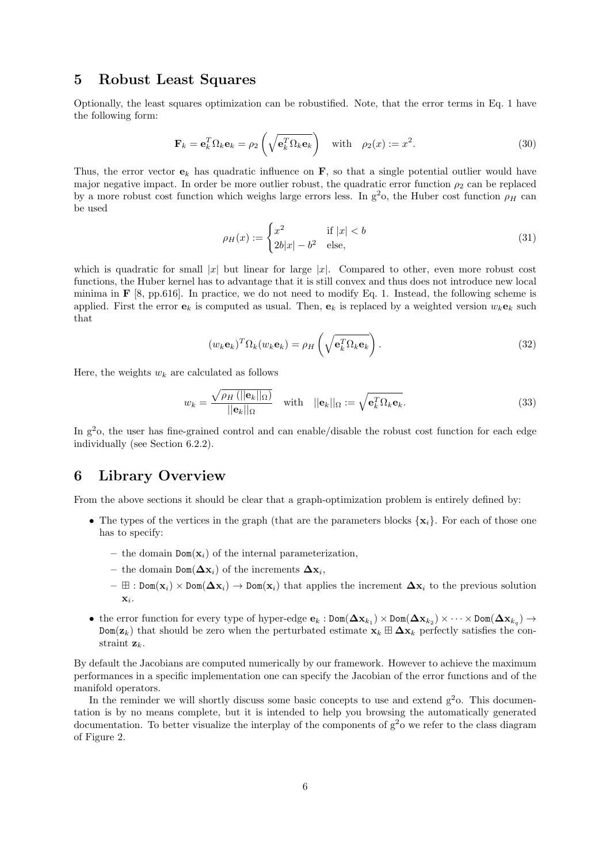# 5 Robust Least Squares

Optionally, the least squares optimization can be robustified. Note, that the error terms in Eq. 1 have the following form:

$$
\mathbf{F}_k = \mathbf{e}_k^T \Omega_k \mathbf{e}_k = \rho_2 \left( \sqrt{\mathbf{e}_k^T \Omega_k \mathbf{e}_k} \right) \quad \text{with} \quad \rho_2(x) := x^2. \tag{30}
$$

Thus, the error vector  $\mathbf{e}_k$  has quadratic influence on  $\mathbf{F}$ , so that a single potential outlier would have major negative impact. In order be more outlier robust, the quadratic error function  $\rho_2$  can be replaced by a more robust cost function which weighs large errors less. In  $g^2$ o, the Huber cost function  $\rho_H$  can be used

$$
\rho_H(x) := \begin{cases} x^2 & \text{if } |x| < b \\ 2b|x| - b^2 & \text{else,} \end{cases} \tag{31}
$$

which is quadratic for small |x| but linear for large |x|. Compared to other, even more robust cost functions, the Huber kernel has to advantage that it is still convex and thus does not introduce new local minima in  $\mathbf{F}$  [8, pp.616]. In practice, we do not need to modify Eq. 1. Instead, the following scheme is applied. First the error  $e_k$  is computed as usual. Then,  $e_k$  is replaced by a weighted version  $w_k e_k$  such that

$$
(w_k \mathbf{e}_k)^T \Omega_k (w_k \mathbf{e}_k) = \rho_H \left( \sqrt{\mathbf{e}_k^T \Omega_k \mathbf{e}_k} \right).
$$
 (32)

Here, the weights  $w_k$  are calculated as follows

$$
w_k = \frac{\sqrt{\rho_H \left( ||\mathbf{e}_k||_{\Omega} \right)}}{||\mathbf{e}_k||_{\Omega}} \quad \text{with} \quad ||\mathbf{e}_k||_{\Omega} := \sqrt{\mathbf{e}_k^T \Omega_k \mathbf{e}_k}.\tag{33}
$$

In  $g^2$ o, the user has fine-grained control and can enable/disable the robust cost function for each edge individually (see Section 6.2.2).

## 6 Library Overview

From the above sections it should be clear that a graph-optimization problem is entirely defined by:

- The types of the vertices in the graph (that are the parameters blocks  $\{x_i\}$ . For each of those one has to specify:
	- the domain  $Dom(\mathbf{x}_i)$  of the internal parameterization,
	- the domain Dom( $\Delta$ x<sub>i</sub>) of the increments  $\Delta$ x<sub>i</sub>,
	- $\boxplus : Dom(x_i) \times Dom(\Delta x_i) \to Dom(x_i)$  that applies the increment  $\Delta x_i$  to the previous solution  $\mathbf{x}_i$ .
- the error function for every type of hyper-edge  $e_k : Dom(\Delta x_{k_1}) \times Dom(\Delta x_{k_2}) \times \cdots \times Dom(\Delta x_{k_q}) \to$  $Dom(z_k)$  that should be zero when the perturbated estimate  $x_k \boxplus \Delta x_k$  perfectly satisfies the constraint  $z_k$ .

By default the Jacobians are computed numerically by our framework. However to achieve the maximum performances in a specific implementation one can specify the Jacobian of the error functions and of the manifold operators.

In the reminder we will shortly discuss some basic concepts to use and extend  $g<sup>2</sup>$ o. This documentation is by no means complete, but it is intended to help you browsing the automatically generated documentation. To better visualize the interplay of the components of  $g^2$ o we refer to the class diagram of Figure 2.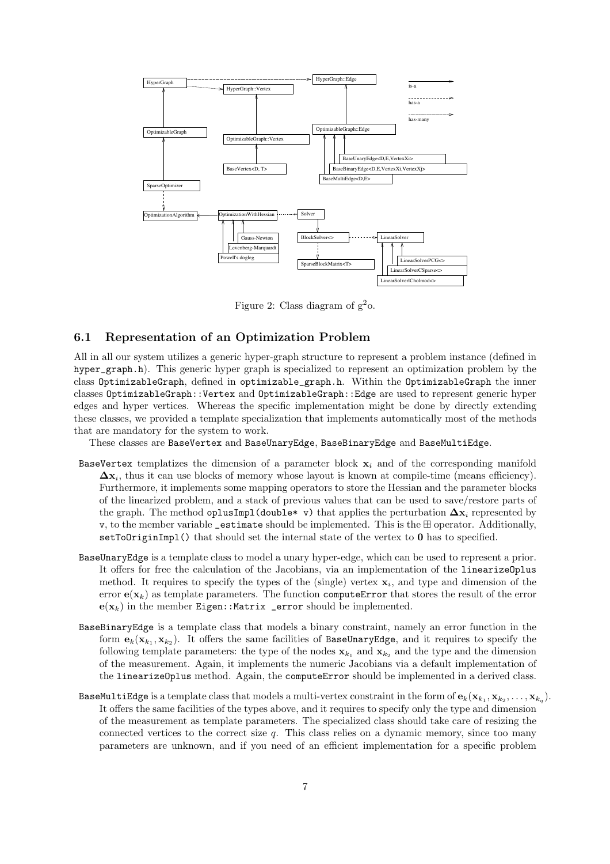

Figure 2: Class diagram of  $g^2$ o.

## 6.1 Representation of an Optimization Problem

All in all our system utilizes a generic hyper-graph structure to represent a problem instance (defined in hyper\_graph.h). This generic hyper graph is specialized to represent an optimization problem by the class OptimizableGraph, defined in optimizable\_graph.h. Within the OptimizableGraph the inner classes OptimizableGraph::Vertex and OptimizableGraph::Edge are used to represent generic hyper edges and hyper vertices. Whereas the specific implementation might be done by directly extending these classes, we provided a template specialization that implements automatically most of the methods that are mandatory for the system to work.

These classes are BaseVertex and BaseUnaryEdge, BaseBinaryEdge and BaseMultiEdge.

- BaseVertex templatizes the dimension of a parameter block  $x_i$  and of the corresponding manifold  $\Delta x_i$ , thus it can use blocks of memory whose layout is known at compile-time (means efficiency). Furthermore, it implements some mapping operators to store the Hessian and the parameter blocks of the linearized problem, and a stack of previous values that can be used to save/restore parts of the graph. The method oplusImpl(double\* v) that applies the perturbation  $\Delta x_i$  represented by v, to the member variable \_estimate should be implemented. This is the ⊞ operator. Additionally, setToOriginImpl() that should set the internal state of the vertex to 0 has to specified.
- BaseUnaryEdge is a template class to model a unary hyper-edge, which can be used to represent a prior. It offers for free the calculation of the Jacobians, via an implementation of the linearizeOplus method. It requires to specify the types of the (single) vertex  $x_i$ , and type and dimension of the error  $e(\mathbf{x}_k)$  as template parameters. The function compute Error that stores the result of the error  $e(\mathbf{x}_k)$  in the member Eigen::Matrix \_error should be implemented.
- BaseBinaryEdge is a template class that models a binary constraint, namely an error function in the form  $e_k(\mathbf{x}_{k_1}, \mathbf{x}_{k_2})$ . It offers the same facilities of BaseUnaryEdge, and it requires to specify the following template parameters: the type of the nodes  $\mathbf{x}_{k_1}$  and  $\mathbf{x}_{k_2}$  and the type and the dimension of the measurement. Again, it implements the numeric Jacobians via a default implementation of the linearizeOplus method. Again, the computeError should be implemented in a derived class.
- <code>BaseMultiEdge</code> is a template class that models a multi-vertex constraint in the form of  ${\bf e}_k({\bf x}_{k_1},{\bf x}_{k_2},\ldots,{\bf x}_{k_q}).$ It offers the same facilities of the types above, and it requires to specify only the type and dimension of the measurement as template parameters. The specialized class should take care of resizing the connected vertices to the correct size  $q$ . This class relies on a dynamic memory, since too many parameters are unknown, and if you need of an efficient implementation for a specific problem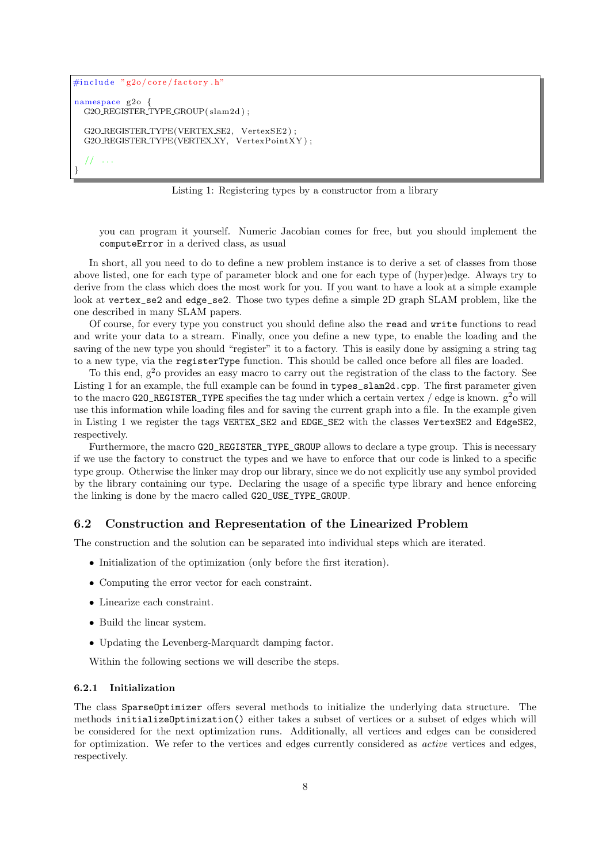```
\#include<sup>"</sup> g2o/core/factory.h
namespace g2o {
  G2O REGISTER TYPE GROUP( slam2d ) ;
  G2O_REGISTER_TYPE(VERTEX_SE2, VertexSE2);
  G2O_REGISTER_TYPE(VERTEX_XY, VertexPointXY);
     // . . .
}
```
Listing 1: Registering types by a constructor from a library

you can program it yourself. Numeric Jacobian comes for free, but you should implement the computeError in a derived class, as usual

In short, all you need to do to define a new problem instance is to derive a set of classes from those above listed, one for each type of parameter block and one for each type of (hyper)edge. Always try to derive from the class which does the most work for you. If you want to have a look at a simple example look at vertex\_se2 and edge\_se2. Those two types define a simple 2D graph SLAM problem, like the one described in many SLAM papers.

Of course, for every type you construct you should define also the read and write functions to read and write your data to a stream. Finally, once you define a new type, to enable the loading and the saving of the new type you should "register" it to a factory. This is easily done by assigning a string tag to a new type, via the registerType function. This should be called once before all files are loaded.

To this end,  $g^2$ o provides an easy macro to carry out the registration of the class to the factory. See Listing 1 for an example, the full example can be found in types\_slam2d.cpp. The first parameter given to the macro G20\_REGISTER\_TYPE specifies the tag under which a certain vertex / edge is known.  $g^2$ o will use this information while loading files and for saving the current graph into a file. In the example given in Listing 1 we register the tags VERTEX\_SE2 and EDGE\_SE2 with the classes VertexSE2 and EdgeSE2, respectively.

Furthermore, the macro G20\_REGISTER\_TYPE\_GROUP allows to declare a type group. This is necessary if we use the factory to construct the types and we have to enforce that our code is linked to a specific type group. Otherwise the linker may drop our library, since we do not explicitly use any symbol provided by the library containing our type. Declaring the usage of a specific type library and hence enforcing the linking is done by the macro called G2O\_USE\_TYPE\_GROUP.

## 6.2 Construction and Representation of the Linearized Problem

The construction and the solution can be separated into individual steps which are iterated.

- Initialization of the optimization (only before the first iteration).
- Computing the error vector for each constraint.
- Linearize each constraint.
- Build the linear system.
- Updating the Levenberg-Marquardt damping factor.

Within the following sections we will describe the steps.

#### 6.2.1 Initialization

The class SparseOptimizer offers several methods to initialize the underlying data structure. The methods initializeOptimization() either takes a subset of vertices or a subset of edges which will be considered for the next optimization runs. Additionally, all vertices and edges can be considered for optimization. We refer to the vertices and edges currently considered as active vertices and edges, respectively.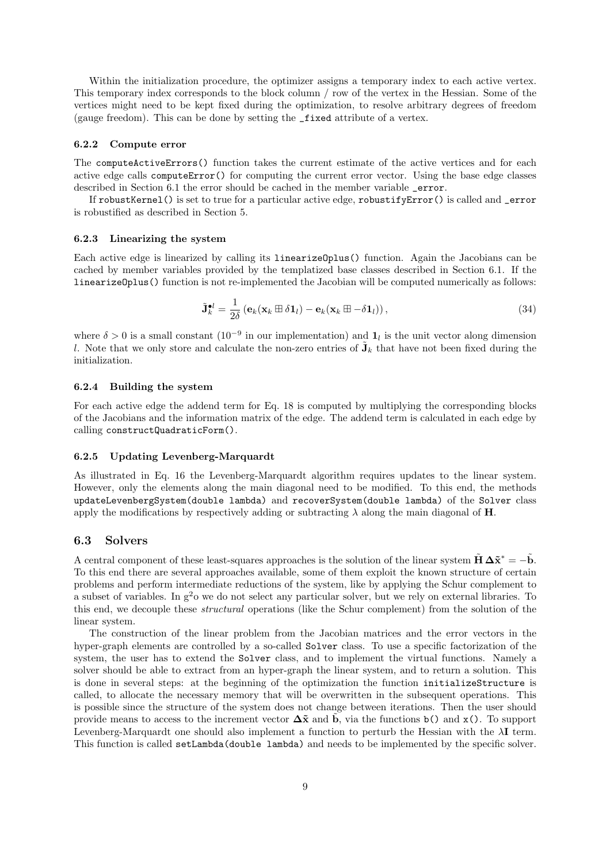Within the initialization procedure, the optimizer assigns a temporary index to each active vertex. This temporary index corresponds to the block column / row of the vertex in the Hessian. Some of the vertices might need to be kept fixed during the optimization, to resolve arbitrary degrees of freedom (gauge freedom). This can be done by setting the \_fixed attribute of a vertex.

#### 6.2.2 Compute error

The computeActiveErrors() function takes the current estimate of the active vertices and for each active edge calls computeError() for computing the current error vector. Using the base edge classes described in Section 6.1 the error should be cached in the member variable \_error.

If robustKernel() is set to true for a particular active edge, robustifyError() is called and \_error is robustified as described in Section 5.

#### 6.2.3 Linearizing the system

Each active edge is linearized by calling its linearizeOplus() function. Again the Jacobians can be cached by member variables provided by the templatized base classes described in Section 6.1. If the linearizeOplus() function is not re-implemented the Jacobian will be computed numerically as follows:

$$
\tilde{\mathbf{J}}_k^{\bullet l} = \frac{1}{2\delta} \left( \mathbf{e}_k (\mathbf{x}_k \boxplus \delta \mathbf{1}_l) - \mathbf{e}_k (\mathbf{x}_k \boxplus -\delta \mathbf{1}_l) \right),\tag{34}
$$

where  $\delta > 0$  is a small constant  $(10^{-9}$  in our implementation) and  $\mathbf{1}_l$  is the unit vector along dimension l. Note that we only store and calculate the non-zero entries of  $\tilde{\mathbf{J}}_k$  that have not been fixed during the initialization.

#### 6.2.4 Building the system

For each active edge the addend term for Eq. 18 is computed by multiplying the corresponding blocks of the Jacobians and the information matrix of the edge. The addend term is calculated in each edge by calling constructQuadraticForm().

#### 6.2.5 Updating Levenberg-Marquardt

As illustrated in Eq. 16 the Levenberg-Marquardt algorithm requires updates to the linear system. However, only the elements along the main diagonal need to be modified. To this end, the methods updateLevenbergSystem(double lambda) and recoverSystem(double lambda) of the Solver class apply the modifications by respectively adding or subtracting  $\lambda$  along the main diagonal of **H**.

#### 6.3 Solvers

A central component of these least-squares approaches is the solution of the linear system  $H \Delta \tilde{x}^* = -b$ . To this end there are several approaches available, some of them exploit the known structure of certain problems and perform intermediate reductions of the system, like by applying the Schur complement to a subset of variables. In  $g^2$ o we do not select any particular solver, but we rely on external libraries. To this end, we decouple these structural operations (like the Schur complement) from the solution of the linear system.

The construction of the linear problem from the Jacobian matrices and the error vectors in the hyper-graph elements are controlled by a so-called Solver class. To use a specific factorization of the system, the user has to extend the Solver class, and to implement the virtual functions. Namely a solver should be able to extract from an hyper-graph the linear system, and to return a solution. This is done in several steps: at the beginning of the optimization the function initializeStructure is called, to allocate the necessary memory that will be overwritten in the subsequent operations. This is possible since the structure of the system does not change between iterations. Then the user should provide means to access to the increment vector  $\Delta \tilde{x}$  and b, via the functions b() and x(). To support Levenberg-Marquardt one should also implement a function to perturb the Hessian with the  $\lambda$ I term. This function is called setLambda(double lambda) and needs to be implemented by the specific solver.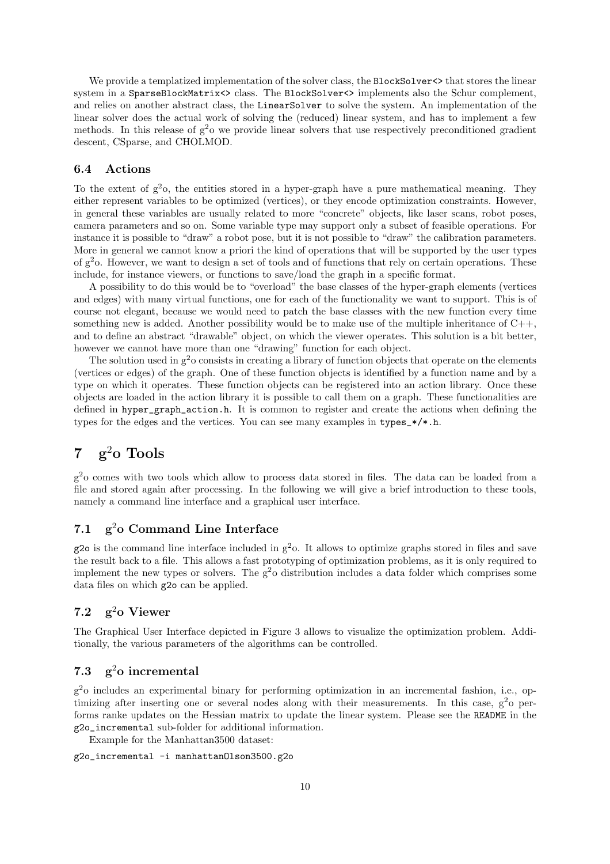We provide a templatized implementation of the solver class, the BlockSolver <>>
that stores the linear system in a SparseBlockMatrix<> class. The BlockSolver<> implements also the Schur complement, and relies on another abstract class, the LinearSolver to solve the system. An implementation of the linear solver does the actual work of solving the (reduced) linear system, and has to implement a few methods. In this release of  $g^2$ o we provide linear solvers that use respectively preconditioned gradient descent, CSparse, and CHOLMOD.

## 6.4 Actions

To the extent of  $g^2$ o, the entities stored in a hyper-graph have a pure mathematical meaning. They either represent variables to be optimized (vertices), or they encode optimization constraints. However, in general these variables are usually related to more "concrete" objects, like laser scans, robot poses, camera parameters and so on. Some variable type may support only a subset of feasible operations. For instance it is possible to "draw" a robot pose, but it is not possible to "draw" the calibration parameters. More in general we cannot know a priori the kind of operations that will be supported by the user types of  $g^2$ o. However, we want to design a set of tools and of functions that rely on certain operations. These include, for instance viewers, or functions to save/load the graph in a specific format.

A possibility to do this would be to "overload" the base classes of the hyper-graph elements (vertices and edges) with many virtual functions, one for each of the functionality we want to support. This is of course not elegant, because we would need to patch the base classes with the new function every time something new is added. Another possibility would be to make use of the multiple inheritance of  $C_{++}$ , and to define an abstract "drawable" object, on which the viewer operates. This solution is a bit better, however we cannot have more than one "drawing" function for each object.

The solution used in  $g^2$ o consists in creating a library of function objects that operate on the elements (vertices or edges) of the graph. One of these function objects is identified by a function name and by a type on which it operates. These function objects can be registered into an action library. Once these objects are loaded in the action library it is possible to call them on a graph. These functionalities are defined in hyper\_graph\_action.h. It is common to register and create the actions when defining the types for the edges and the vertices. You can see many examples in types\_\*/\*.h.

# 7 g<sup>2</sup>o Tools

g <sup>2</sup>o comes with two tools which allow to process data stored in files. The data can be loaded from a file and stored again after processing. In the following we will give a brief introduction to these tools, namely a command line interface and a graphical user interface.

## 7.1  $\sigma^2$ o Command Line Interface

 $g2o$  is the command line interface included in  $g<sup>2</sup>o$ . It allows to optimize graphs stored in files and save the result back to a file. This allows a fast prototyping of optimization problems, as it is only required to implement the new types or solvers. The  $g^2$ o distribution includes a data folder which comprises some data files on which g2o can be applied.

# 7.2  $g^2$ o Viewer

The Graphical User Interface depicted in Figure 3 allows to visualize the optimization problem. Additionally, the various parameters of the algorithms can be controlled.

# 7.3  $g^2$ o incremental

g <sup>2</sup>o includes an experimental binary for performing optimization in an incremental fashion, i.e., optimizing after inserting one or several nodes along with their measurements. In this case,  $g^2$ o performs ranke updates on the Hessian matrix to update the linear system. Please see the README in the g2o\_incremental sub-folder for additional information.

Example for the Manhattan3500 dataset:

```
g2o_incremental -i manhattanOlson3500.g2o
```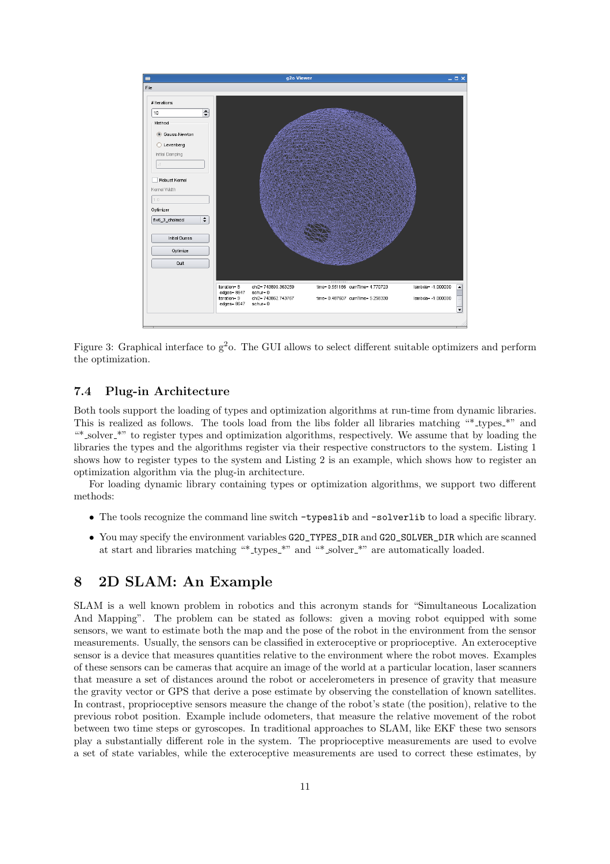

Figure 3: Graphical interface to  $g^2$ . The GUI allows to select different suitable optimizers and perform the optimization.

## 7.4 Plug-in Architecture

Both tools support the loading of types and optimization algorithms at run-time from dynamic libraries. This is realized as follows. The tools load from the libs folder all libraries matching "\*\_types\_\*" and "\* solver \*" to register types and optimization algorithms, respectively. We assume that by loading the libraries the types and the algorithms register via their respective constructors to the system. Listing 1 shows how to register types to the system and Listing 2 is an example, which shows how to register an optimization algorithm via the plug-in architecture.

For loading dynamic library containing types or optimization algorithms, we support two different methods:

- The tools recognize the command line switch -typeslib and -solverlib to load a specific library.
- You may specify the environment variables G2O\_TYPES\_DIR and G2O\_SOLVER\_DIR which are scanned at start and libraries matching "\* types \*" and "\* solver \*" are automatically loaded.

# 8 2D SLAM: An Example

SLAM is a well known problem in robotics and this acronym stands for "Simultaneous Localization And Mapping". The problem can be stated as follows: given a moving robot equipped with some sensors, we want to estimate both the map and the pose of the robot in the environment from the sensor measurements. Usually, the sensors can be classified in exteroceptive or proprioceptive. An exteroceptive sensor is a device that measures quantities relative to the environment where the robot moves. Examples of these sensors can be cameras that acquire an image of the world at a particular location, laser scanners that measure a set of distances around the robot or accelerometers in presence of gravity that measure the gravity vector or GPS that derive a pose estimate by observing the constellation of known satellites. In contrast, proprioceptive sensors measure the change of the robot's state (the position), relative to the previous robot position. Example include odometers, that measure the relative movement of the robot between two time steps or gyroscopes. In traditional approaches to SLAM, like EKF these two sensors play a substantially different role in the system. The proprioceptive measurements are used to evolve a set of state variables, while the exteroceptive measurements are used to correct these estimates, by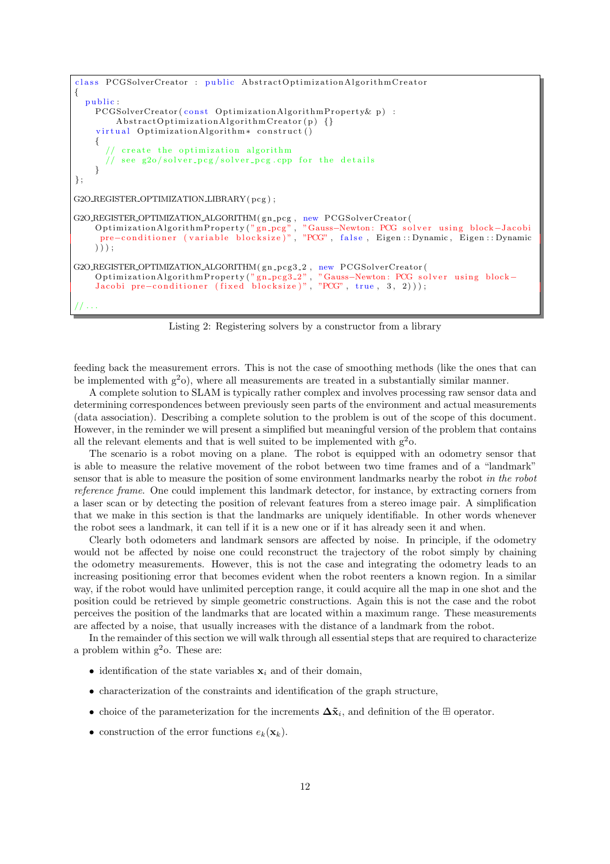```
class PCGSolverCreator : public AbstractOptimizationAlgorithmCreator
{
  public:
    PCGSolverCreator ( const Optimization Algorithm Property & p) :
        A b struct Optimization Algorithm Create() {}
    virtual OptimizationAlgorithm* construct ()
    {
         create the optimization algorithm
         see g2o/solver_pcg/solver_pcg.cpp for the details
    }
} ;
G2O REGISTER OPTIMIZATION LIBRARY( pcg ) ;
G2O REGISTER OPTIMIZATION ALGORITHM (gn_pcg, new PCGSolverCreator (
    OptimizationAlgorithmProperty("gn_pcg", "Gauss−Newton: PCG solver using block−Jacobi
     pre−conditioner (variable blocksize)", "PCG", false, Eigen::Dynamic, Eigen::Dynamic
    ) ) ) ;
G2O_REGISTER_OPTIMIZATION_ALGORITHM(gn_pcg3_2, new PCGSolverCreator(
    OptimizationAlgorithmProperty("gn_pcg3_2" , "Gauss−Newton: PCG solver using block−
    Jacobi pre-conditioner (fixed blocksize)", "PCG", true, 3, 2)));
 // . . .
```
Listing 2: Registering solvers by a constructor from a library

feeding back the measurement errors. This is not the case of smoothing methods (like the ones that can be implemented with  $g^2$ o), where all measurements are treated in a substantially similar manner.

A complete solution to SLAM is typically rather complex and involves processing raw sensor data and determining correspondences between previously seen parts of the environment and actual measurements (data association). Describing a complete solution to the problem is out of the scope of this document. However, in the reminder we will present a simplified but meaningful version of the problem that contains all the relevant elements and that is well suited to be implemented with  $g^2$ o.

The scenario is a robot moving on a plane. The robot is equipped with an odometry sensor that is able to measure the relative movement of the robot between two time frames and of a "landmark" sensor that is able to measure the position of some environment landmarks nearby the robot in the robot reference frame. One could implement this landmark detector, for instance, by extracting corners from a laser scan or by detecting the position of relevant features from a stereo image pair. A simplification that we make in this section is that the landmarks are uniquely identifiable. In other words whenever the robot sees a landmark, it can tell if it is a new one or if it has already seen it and when.

Clearly both odometers and landmark sensors are affected by noise. In principle, if the odometry would not be affected by noise one could reconstruct the trajectory of the robot simply by chaining the odometry measurements. However, this is not the case and integrating the odometry leads to an increasing positioning error that becomes evident when the robot reenters a known region. In a similar way, if the robot would have unlimited perception range, it could acquire all the map in one shot and the position could be retrieved by simple geometric constructions. Again this is not the case and the robot perceives the position of the landmarks that are located within a maximum range. These measurements are affected by a noise, that usually increases with the distance of a landmark from the robot.

In the remainder of this section we will walk through all essential steps that are required to characterize a problem within  $g^2$ o. These are:

- identification of the state variables  $x_i$  and of their domain,
- characterization of the constraints and identification of the graph structure,
- choice of the parameterization for the increments  $\Delta \tilde{\mathbf{x}}_i$ , and definition of the  $\boxplus$  operator.
- construction of the error functions  $e_k(\mathbf{x}_k)$ .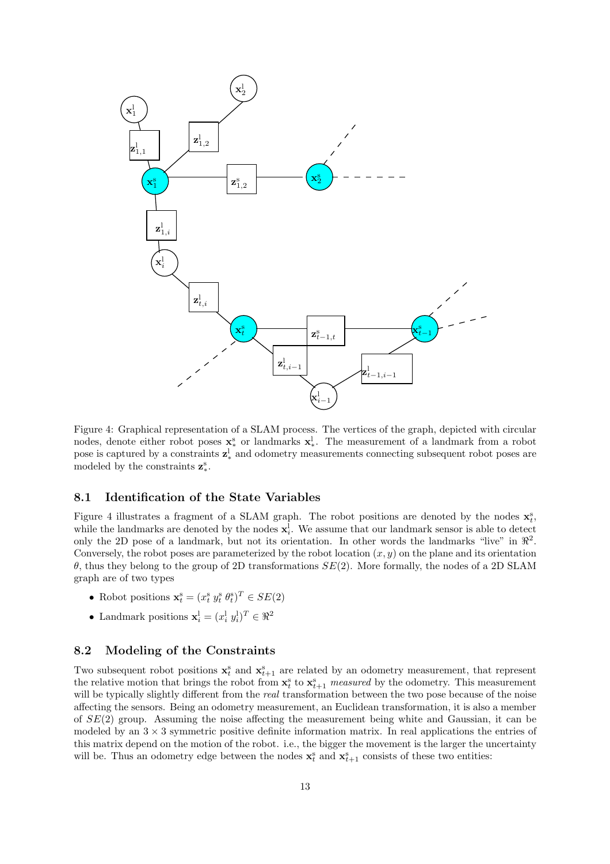

Figure 4: Graphical representation of a SLAM process. The vertices of the graph, depicted with circular nodes, denote either robot poses  $\mathbf{x}_*^s$  or landmarks  $\mathbf{x}_*^l$ . The measurement of a landmark from a robot pose is captured by a constraints  $z^l_*$  and odometry measurements connecting subsequent robot poses are modeled by the constraints  $z_*^s$ .

## 8.1 Identification of the State Variables

Figure 4 illustrates a fragment of a SLAM graph. The robot positions are denoted by the nodes  $\mathbf{x}_t^s$ , while the landmarks are denoted by the nodes  $\mathbf{x}_i^{\text{l}}$ . We assume that our landmark sensor is able to detect only the 2D pose of a landmark, but not its orientation. In other words the landmarks "live" in  $\mathbb{R}^2$ . Conversely, the robot poses are parameterized by the robot location  $(x, y)$  on the plane and its orientation θ, thus they belong to the group of 2D transformations SE(2). More formally, the nodes of a 2D SLAM graph are of two types

- Robot positions  $\mathbf{x}_t^s = (x_t^s y_t^s \theta_t^s)^T \in SE(2)$
- Landmark positions  $\mathbf{x}_i^{\mathit{l}} = (x_i^{\mathit{l}} y_i^{\mathit{l}})^T \in \Re^2$

## 8.2 Modeling of the Constraints

Two subsequent robot positions  $\mathbf{x}_t^s$  and  $\mathbf{x}_{t+1}^s$  are related by an odometry measurement, that represent the relative motion that brings the robot from  $\mathbf{x}_t^s$  to  $\mathbf{x}_{t+1}^s$  measured by the odometry. This measurement will be typically slightly different from the *real* transformation between the two pose because of the noise affecting the sensors. Being an odometry measurement, an Euclidean transformation, it is also a member of  $SE(2)$  group. Assuming the noise affecting the measurement being white and Gaussian, it can be modeled by an  $3 \times 3$  symmetric positive definite information matrix. In real applications the entries of this matrix depend on the motion of the robot. i.e., the bigger the movement is the larger the uncertainty will be. Thus an odometry edge between the nodes  $\mathbf{x}_t^s$  and  $\mathbf{x}_{t+1}^s$  consists of these two entities: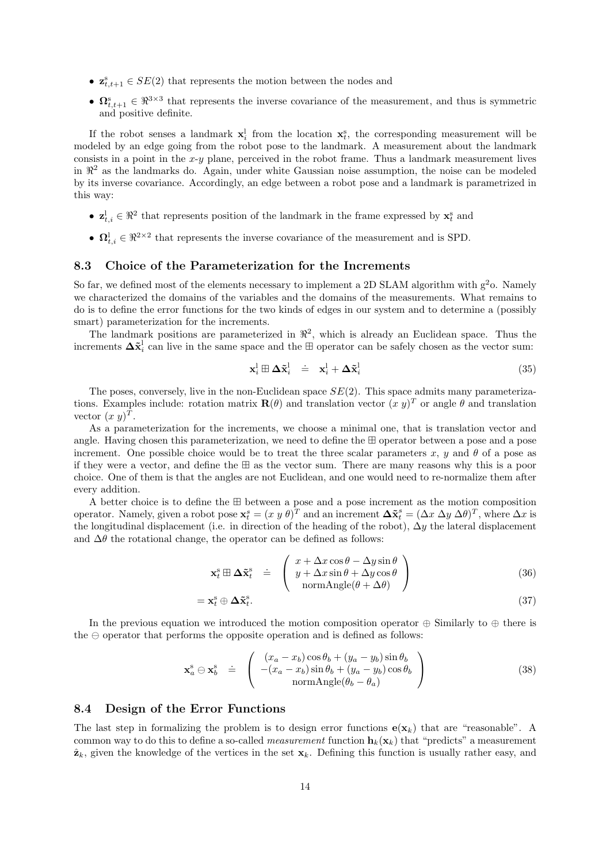- $\mathbf{z}_{t,t+1}^s \in SE(2)$  that represents the motion between the nodes and
- $\mathbf{\Omega}_{t,t+1}^s \in \mathbb{R}^{3 \times 3}$  that represents the inverse covariance of the measurement, and thus is symmetric and positive definite.

If the robot senses a landmark  $x_i^l$  from the location  $x_i^s$ , the corresponding measurement will be modeled by an edge going from the robot pose to the landmark. A measurement about the landmark consists in a point in the  $x-y$  plane, perceived in the robot frame. Thus a landmark measurement lives in  $\mathbb{R}^2$  as the landmarks do. Again, under white Gaussian noise assumption, the noise can be modeled by its inverse covariance. Accordingly, an edge between a robot pose and a landmark is parametrized in this way:

- $\mathbf{z}_{t,i}^{\mathsf{I}} \in \mathbb{R}^2$  that represents position of the landmark in the frame expressed by  $\mathbf{x}_t^{\mathsf{s}}$  and
- $\Omega_{t,i}^{\perp} \in \Re^{2 \times 2}$  that represents the inverse covariance of the measurement and is SPD.

## 8.3 Choice of the Parameterization for the Increments

So far, we defined most of the elements necessary to implement a 2D SLAM algorithm with  $g^2$ o. Namely we characterized the domains of the variables and the domains of the measurements. What remains to do is to define the error functions for the two kinds of edges in our system and to determine a (possibly smart) parameterization for the increments.

The landmark positions are parameterized in  $\mathbb{R}^2$ , which is already an Euclidean space. Thus the increments  $\Delta \tilde{\mathbf{x}}_i^{\text{l}}$  can live in the same space and the  $\boxplus$  operator can be safely chosen as the vector sum:

$$
\mathbf{x}_i^{\mathrm{l}} \boxplus \Delta \tilde{\mathbf{x}}_i^{\mathrm{l}} \quad \dot{=} \quad \mathbf{x}_i^{\mathrm{l}} + \Delta \tilde{\mathbf{x}}_i^{\mathrm{l}} \tag{35}
$$

The poses, conversely, live in the non-Euclidean space  $SE(2)$ . This space admits many parameterizations. Examples include: rotation matrix  $\mathbf{R}(\theta)$  and translation vector  $(x, y)^T$  or angle  $\theta$  and translation vector  $(x y)^T$ .

As a parameterization for the increments, we choose a minimal one, that is translation vector and angle. Having chosen this parameterization, we need to define the ⊞ operator between a pose and a pose increment. One possible choice would be to treat the three scalar parameters x, y and  $\theta$  of a pose as if they were a vector, and define the ⊞ as the vector sum. There are many reasons why this is a poor choice. One of them is that the angles are not Euclidean, and one would need to re-normalize them after every addition.

A better choice is to define the ⊞ between a pose and a pose increment as the motion composition operator. Namely, given a robot pose  $\mathbf{x}_t^s = (x \ y \ \theta)^T$  and an increment  $\mathbf{\Delta} \tilde{\mathbf{x}}_t^s = (\Delta x \ \Delta y \ \Delta \theta)^T$ , where  $\Delta x$  is the longitudinal displacement (i.e. in direction of the heading of the robot),  $\Delta y$  the lateral displacement and  $\Delta\theta$  the rotational change, the operator can be defined as follows:

$$
\mathbf{x}_{t}^{\mathrm{s}} \boxplus \boldsymbol{\Delta} \tilde{\mathbf{x}}_{t}^{\mathrm{s}} \doteq \left( \begin{array}{c} x + \Delta x \cos \theta - \Delta y \sin \theta \\ y + \Delta x \sin \theta + \Delta y \cos \theta \\ \text{normAngle}(\theta + \Delta \theta) \end{array} \right) \tag{36}
$$

$$
=\mathbf{x}_{t}^{\mathrm{s}}\oplus\Delta\tilde{\mathbf{x}}_{t}^{\mathrm{s}}.\tag{37}
$$

In the previous equation we introduced the motion composition operator  $\oplus$  Similarly to  $\oplus$  there is the  $\ominus$  operator that performs the opposite operation and is defined as follows:

$$
\mathbf{x}_a^s \ominus \mathbf{x}_b^s \doteq \begin{pmatrix} (x_a - x_b)\cos\theta_b + (y_a - y_b)\sin\theta_b \\ -(x_a - x_b)\sin\theta_b + (y_a - y_b)\cos\theta_b \\ \text{normAngle}(\theta_b - \theta_a) \end{pmatrix}
$$
(38)

#### 8.4 Design of the Error Functions

The last step in formalizing the problem is to design error functions  $\mathbf{e}(\mathbf{x}_k)$  that are "reasonable". A common way to do this to define a so-called *measurement* function  $\mathbf{h}_k(\mathbf{x}_k)$  that "predicts" a measurement  $\hat{\mathbf{z}}_k$ , given the knowledge of the vertices in the set  $\mathbf{x}_k$ . Defining this function is usually rather easy, and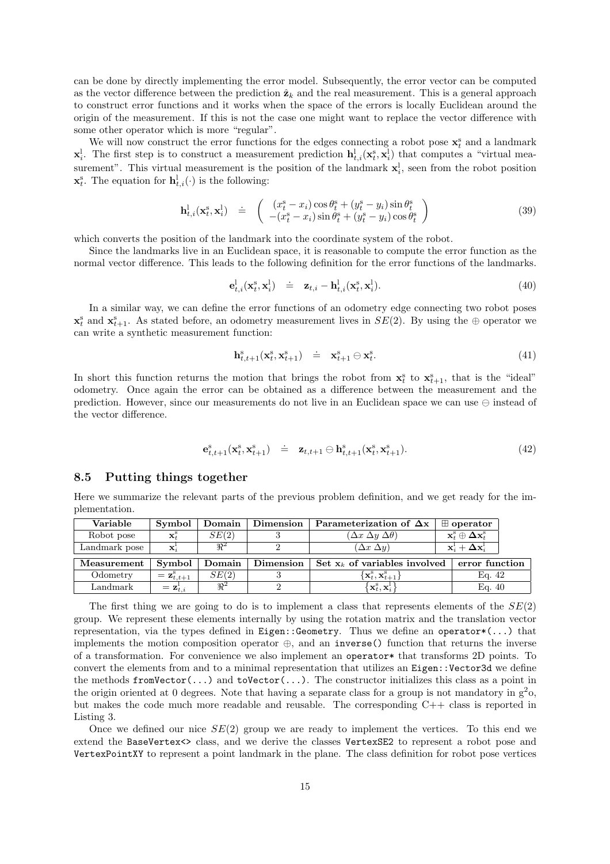can be done by directly implementing the error model. Subsequently, the error vector can be computed as the vector difference between the prediction  $\hat{\mathbf{z}}_k$  and the real measurement. This is a general approach to construct error functions and it works when the space of the errors is locally Euclidean around the origin of the measurement. If this is not the case one might want to replace the vector difference with some other operator which is more "regular".

We will now construct the error functions for the edges connecting a robot pose  $\mathbf{x}_t^s$  and a landmark  $\mathbf{x}_i^{\rm{l}}$ . The first step is to construct a measurement prediction  $\mathbf{h}^{\rm{l}}_{t,i}(\mathbf{x}_t^{\rm{s}}, \mathbf{x}_i^{\rm{l}})$  that computes a "virtual measurement". This virtual measurement is the position of the landmark  $x_i^l$ , seen from the robot position  $\mathbf{x}_t^s$ . The equation for  $\mathbf{h}_{t,i}^{\text{l}}(\cdot)$  is the following:

$$
\mathbf{h}^1_{t,i}(\mathbf{x}_t^s, \mathbf{x}_i^1) \quad \doteq \quad \begin{pmatrix} (x_t^s - x_i) \cos \theta_t^s + (y_t^s - y_i) \sin \theta_t^s \\ -(x_t^s - x_i) \sin \theta_t^s + (y_t^s - y_i) \cos \theta_t^s \end{pmatrix} \tag{39}
$$

which converts the position of the landmark into the coordinate system of the robot.

Since the landmarks live in an Euclidean space, it is reasonable to compute the error function as the normal vector difference. This leads to the following definition for the error functions of the landmarks.

$$
\mathbf{e}_{t,i}^{\mathbf{l}}(\mathbf{x}_t^{\mathbf{s}},\mathbf{x}_i^{\mathbf{l}}) \quad \dot{=} \quad \mathbf{z}_{t,i} - \mathbf{h}_{t,i}^{\mathbf{l}}(\mathbf{x}_t^{\mathbf{s}},\mathbf{x}_i^{\mathbf{l}}). \tag{40}
$$

In a similar way, we can define the error functions of an odometry edge connecting two robot poses  $\mathbf{x}_t^s$  and  $\mathbf{x}_{t+1}^s$ . As stated before, an odometry measurement lives in  $SE(2)$ . By using the  $\oplus$  operator we can write a synthetic measurement function:

$$
\mathbf{h}_{t,t+1}^s(\mathbf{x}_t^s, \mathbf{x}_{t+1}^s) \quad \doteq \quad \mathbf{x}_{t+1}^s \ominus \mathbf{x}_t^s. \tag{41}
$$

In short this function returns the motion that brings the robot from  $\mathbf{x}_t^s$  to  $\mathbf{x}_{t+1}^s$ , that is the "ideal" odometry. Once again the error can be obtained as a difference between the measurement and the prediction. However, since our measurements do not live in an Euclidean space we can use ⊖ instead of the vector difference.

$$
\mathbf{e}_{t,t+1}^s(\mathbf{x}_t^s, \mathbf{x}_{t+1}^s) \stackrel{\cdot}{=} \mathbf{z}_{t,t+1} \ominus \mathbf{h}_{t,t+1}^s(\mathbf{x}_t^s, \mathbf{x}_{t+1}^s). \tag{42}
$$

#### 8.5 Putting things together

Here we summarize the relevant parts of the previous problem definition, and we get ready for the implementation.

| Variable      | Symbol                             | Domain  | Dimension | Parameterization of $\Delta x$                                        | $\boxplus$ operator                                                 |  |
|---------------|------------------------------------|---------|-----------|-----------------------------------------------------------------------|---------------------------------------------------------------------|--|
| Robot pose    | $\mathbf{x}_t^\mathrm{s}$          | SE(2)   |           | $(\Delta x \Delta y \Delta \theta)$                                   | $\mathbf{x}_t^\mathrm{s}\oplus \mathbf{\Delta x}_t^\mathrm{s}$      |  |
| Landmark pose | $\mathbf{X}_i$                     | R       |           | $\Delta x \, \Delta y$                                                | $\mathbf{x}_i^{\text{t}} + \mathbf{\Delta} \mathbf{x}_i^{\text{t}}$ |  |
| Measurement   | Symbol                             | Domain  | Dimension | Set $x_k$ of variables involved                                       | error function                                                      |  |
| Odometry      | $=\mathbf{z}_{t,t+1}^{\mathrm{s}}$ | SE(2)   |           | $\left\{\mathbf{x}_t^\mathrm{s}, \mathbf{x}_{t+1}^\mathrm{s}\right\}$ | Eq. 42                                                              |  |
| Landmark      | $\mathbf{z}_{t,i}^{\mathsf{I}}$    | $\Re^2$ |           | $\left[\mathbf{x}_t^\mathrm{s}, \mathbf{x}_i^\mathrm{l}\right]$       | Eq. 40                                                              |  |

The first thing we are going to do is to implement a class that represents elements of the  $SE(2)$ group. We represent these elements internally by using the rotation matrix and the translation vector representation, via the types defined in Eigen::Geometry. Thus we define an operator\*(...) that implements the motion composition operator  $\oplus$ , and an inverse() function that returns the inverse of a transformation. For convenience we also implement an operator\* that transforms 2D points. To convert the elements from and to a minimal representation that utilizes an Eigen::Vector3d we define the methods  $fromVector(...)$  and  $toVector(...)$ . The constructor initializes this class as a point in the origin oriented at 0 degrees. Note that having a separate class for a group is not mandatory in  $g^2$ o, but makes the code much more readable and reusable. The corresponding C++ class is reported in Listing 3.

Once we defined our nice  $SE(2)$  group we are ready to implement the vertices. To this end we extend the BaseVertex <> class, and we derive the classes Vertex SE2 to represent a robot pose and VertexPointXY to represent a point landmark in the plane. The class definition for robot pose vertices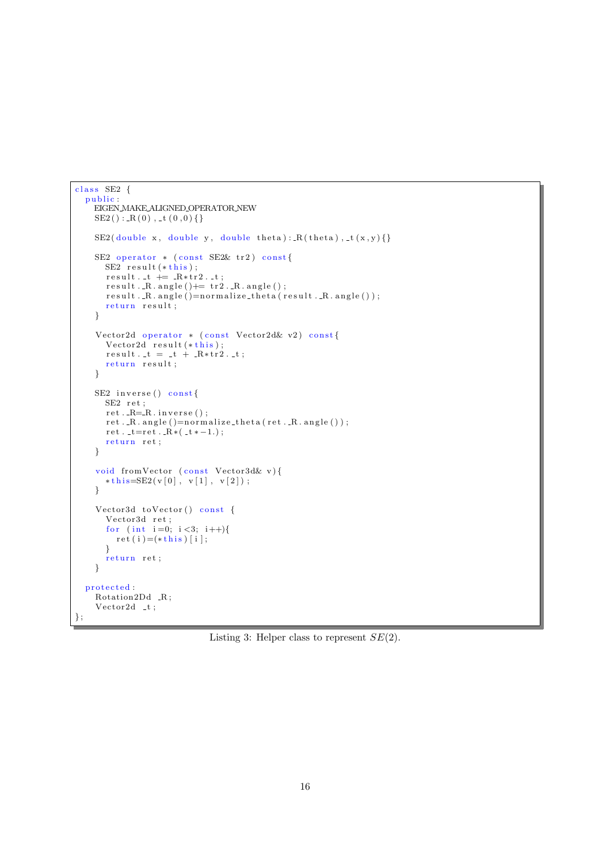```
class SE2 {
  public:
    EIGEN MAKE ALIGNED OPERATOR NEW
    SE2() : R(0), t(0,0)}
    SE2(double x, double y, double theta): R(the ta), t(x, y)}
    SE2 operator * (const SE2& tr2) const{
      SE2 result (* this);
      result. t \doteq R*tr2. t;result. R. angle() \neq tr2. R. angle();
      result..R.\angle{angle()} = normalize\_theta(result..R.\angle{angle()};return result;
    }
     Vector2d operator * (const Vector2d\& v2) const{
       Vector2d result (\ast this);
      result. t = t + \frac{1}{R * tr2}. t;
      return result;
    }
    SE2 inverse () const{
      SE2 ret;
      ret. . R = R. inverse();
      r \cdot r \cdot R \cdot \text{angle}() = \text{normalize\_theta} \cdot r \cdot R \cdot \text{angle}(t);
      ret : t = ret : R*(t + -1.);return ret;
    }
    void fromVector (const Vector3d& v){
      * this=SE2(v[0], v[1], v[2]);
    }
    Vector3d toVector() const {
       Vector3d ret;
       for (int i=0; i < 3; i++){
        ret(i) = (* this) [i];}
       return ret;
    }
  protected :
    Rotation2Dd _R;
    Vector2d _t;
} ;
```
Listing 3: Helper class to represent  $SE(2)$ .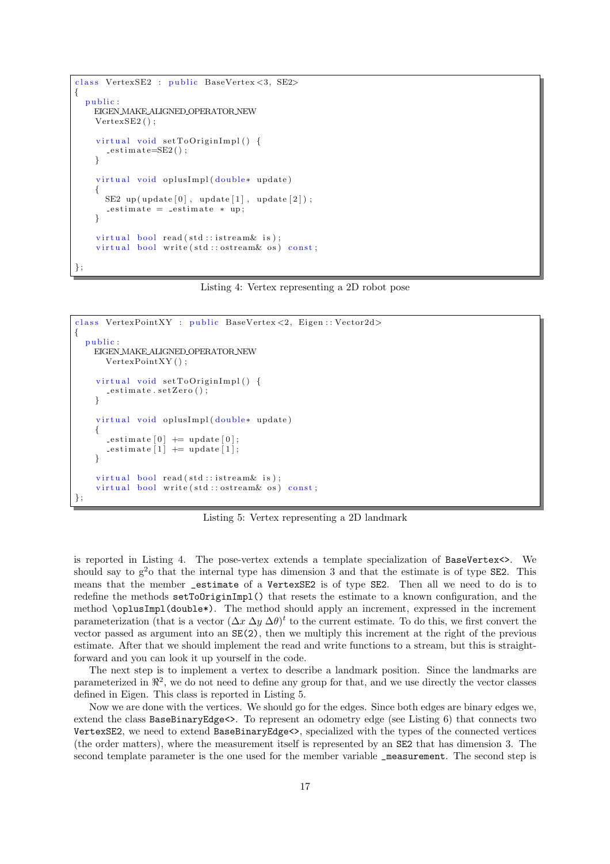```
class VertexSE2 : public BaseVertex<3, SE2>
{
 public:
   EIGEN MAKE ALIGNED OPERATOR NEW
    VertexSE2();
    virtual\ void\ setToOriginalImpl() {
      -e stimate=SE2();
    }
    virtual void oplusImpl(double* update)
    {
      SE2 up (update [0], update [1], update [2]);
      -estimate = -estimate * up;
    }
    virtual bool read (std::istream\& is);
    virtual bool write (std: ostream & os) const;
} ;
```
Listing 4: Vertex representing a 2D robot pose

```
class VertexPointXY : public BaseVertex <2, Eigen :: Vector2d>
{
  public :
    EIGEN MAKE ALIGNED OPERATOR NEW
       VertexPointXY():
     virtual void setToOriginImpl() {
       -estimate.setZero();
     }
     virtual void oplusImpl(double* update)
     {
       -estimate [0] \leftarrow update [0];
       \text{estimate} \begin{bmatrix} 1 \end{bmatrix} \text{ += update} \begin{bmatrix} 1 \end{bmatrix};}
     virtual bool read (std::istream\& is);
     virtual bool write (std::ostream& os) const;
} ;
```
Listing 5: Vertex representing a 2D landmark

is reported in Listing 4. The pose-vertex extends a template specialization of BaseVertex<>. We should say to  $g^2$  that the internal type has dimension 3 and that the estimate is of type SE2. This means that the member \_estimate of a VertexSE2 is of type SE2. Then all we need to do is to redefine the methods setToOriginImpl() that resets the estimate to a known configuration, and the method \oplusImpl(double\*). The method should apply an increment, expressed in the increment parameterization (that is a vector  $(\Delta x \Delta y \Delta \theta)^t$  to the current estimate. To do this, we first convert the vector passed as argument into an SE(2), then we multiply this increment at the right of the previous estimate. After that we should implement the read and write functions to a stream, but this is straightforward and you can look it up yourself in the code.

The next step is to implement a vertex to describe a landmark position. Since the landmarks are parameterized in  $\mathbb{R}^2$ , we do not need to define any group for that, and we use directly the vector classes defined in Eigen. This class is reported in Listing 5.

Now we are done with the vertices. We should go for the edges. Since both edges are binary edges we, extend the class BaseBinaryEdge<>. To represent an odometry edge (see Listing 6) that connects two VertexSE2, we need to extend BaseBinaryEdge<>, specialized with the types of the connected vertices (the order matters), where the measurement itself is represented by an SE2 that has dimension 3. The second template parameter is the one used for the member variable \_measurement. The second step is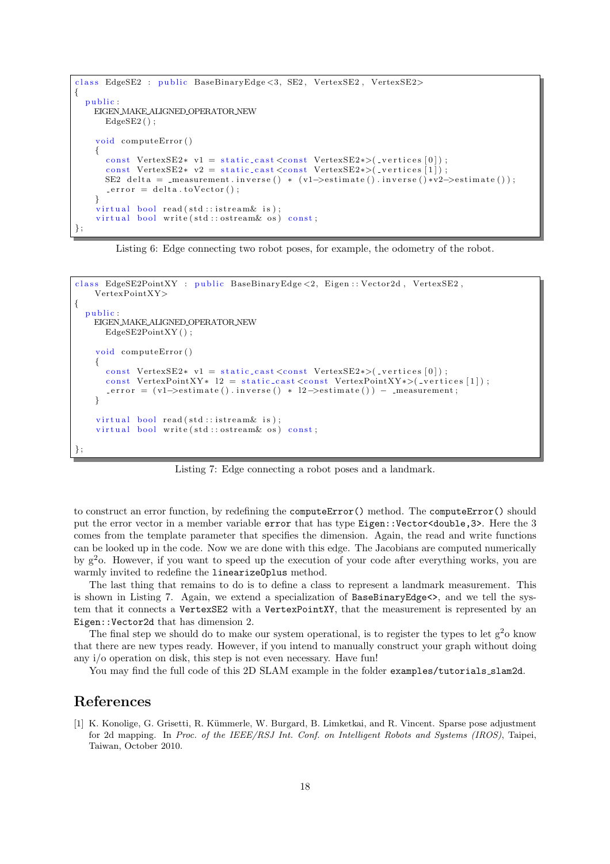```
class EdgeSE2 : public BaseBinaryEdge<3, SE2, VertexSE2, VertexSE2>
{
 public :
   EIGEN MAKE ALIGNED OPERATOR NEW
     EdgeSE2();
    void computeError ()
    {
      const VertexSE2∗ v1 = static_cast <const VertexSE2∗>(_vertices [0]);
      const VertexSE2* v2 = static_cast <const VertexSE2*\times(_vertices [1]);
     SE2 delta = _measurement.inverse() * (v1->estimate().inverse()*v2->estimate());
      error = delta.toVector():
    }
    virtual bool read (std::istream\& is);virtual bool write (std::ostream& os) const;
} ;
```
Listing 6: Edge connecting two robot poses, for example, the odometry of the robot.

```
class EdgeSE2PointXY : public BaseBinaryEdge<2, Eigen :: Vector2d, VertexSE2,
    VertexPointXY>
{
  public.
    EIGEN MAKE ALIGNED OPERATOR NEW
      EdgeSE2PointXY();
    void computeError ()
    {
      const VertexSE2∗ v1 = static_cast <const VertexSE2∗>(_vertices [0]);
      const VertexPointXY* 12 = static_cast <const VertexPointXY*>(_vertices [1]);
      error = (v1 \rightarrow estimate() \cdot inverse() * 12 \rightarrow estimate()) - measurement;}
    virtual\;bool\; read(std::istream\&is);virtual bool write (std: : ostream& os) const;
} ;
```
Listing 7: Edge connecting a robot poses and a landmark.

to construct an error function, by redefining the computeError() method. The computeError() should put the error vector in a member variable error that has type Eigen::Vector<double,3>. Here the 3 comes from the template parameter that specifies the dimension. Again, the read and write functions can be looked up in the code. Now we are done with this edge. The Jacobians are computed numerically by g<sup>2</sup>o. However, if you want to speed up the execution of your code after everything works, you are warmly invited to redefine the linearizeOplus method.

The last thing that remains to do is to define a class to represent a landmark measurement. This is shown in Listing 7. Again, we extend a specialization of BaseBinaryEdge<>, and we tell the system that it connects a VertexSE2 with a VertexPointXY, that the measurement is represented by an Eigen::Vector2d that has dimension 2.

The final step we should do to make our system operational, is to register the types to let  $g^2$ o know that there are new types ready. However, if you intend to manually construct your graph without doing any i/o operation on disk, this step is not even necessary. Have fun!

You may find the full code of this 2D SLAM example in the folder examples/tutorials\_slam2d.

# References

[1] K. Konolige, G. Grisetti, R. Kümmerle, W. Burgard, B. Limketkai, and R. Vincent. Sparse pose adjustment for 2d mapping. In Proc. of the IEEE/RSJ Int. Conf. on Intelligent Robots and Systems (IROS), Taipei, Taiwan, October 2010.